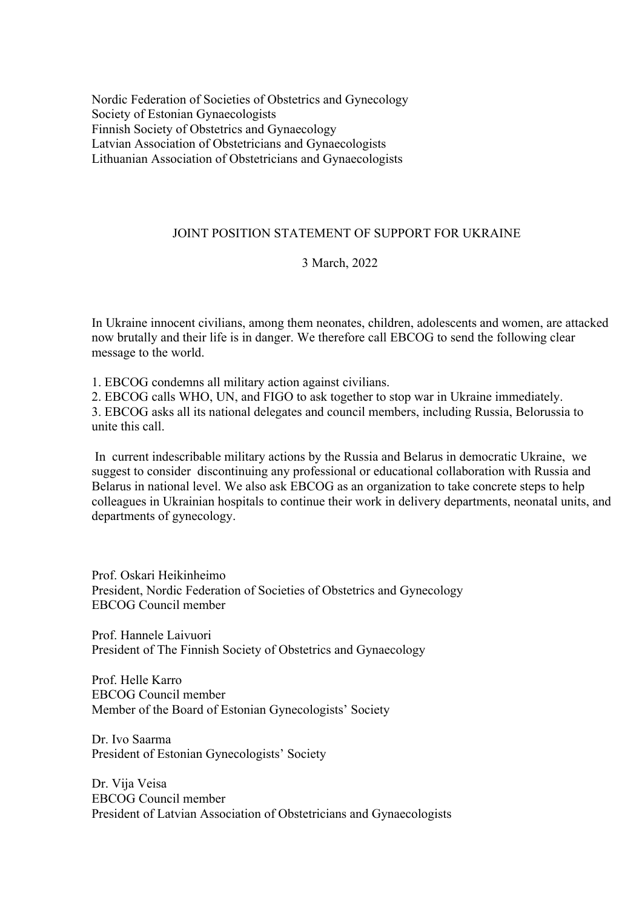Nordic Federation of Societies of Obstetrics and Gynecology Society of Estonian Gynaecologists Finnish Society of Obstetrics and Gynaecology Latvian Association of Obstetricians and Gynaecologists Lithuanian Association of Obstetricians and Gynaecologists

## JOINT POSITION STATEMENT OF SUPPORT FOR UKRAINE

## 3 March, 2022

In Ukraine innocent civilians, among them neonates, children, adolescents and women, are attacked now brutally and their life is in danger. We therefore call EBCOG to send the following clear message to the world.

1. EBCOG condemns all military action against civilians.

2. EBCOG calls WHO, UN, and FIGO to ask together to stop war in Ukraine immediately.

3. EBCOG asks all its national delegates and council members, including Russia, Belorussia to unite this call.

In current indescribable military actions by the Russia and Belarus in democratic Ukraine, we suggest to consider discontinuing any professional or educational collaboration with Russia and Belarus in national level. We also ask EBCOG as an organization to take concrete steps to help colleagues in Ukrainian hospitals to continue their work in delivery departments, neonatal units, and departments of gynecology.

Prof. Oskari Heikinheimo President, Nordic Federation of Societies of Obstetrics and Gynecology EBCOG Council member

Prof. Hannele Laivuori President of The Finnish Society of Obstetrics and Gynaecology

Prof. Helle Karro EBCOG Council member Member of the Board of Estonian Gynecologists' Society

Dr. Ivo Saarma President of Estonian Gynecologists' Society

Dr. Vija Veisa EBCOG Council member President of Latvian Association of Obstetricians and Gynaecologists